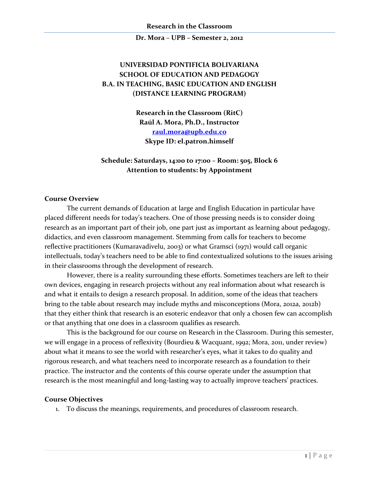# **UNIVERSIDAD PONTIFICIA BOLIVARIANA SCHOOL OF EDUCATION AND PEDAGOGY B.A. IN TEACHING, BASIC EDUCATION AND ENGLISH (DISTANCE LEARNING PROGRAM)**

**Research in the Classroom (RitC) Raúl A. Mora, Ph.D., Instructor [raul.mora@upb.edu.co](mailto:raul.mora@upb.edu.co) Skype ID: el.patron.himself**

# **Schedule: Saturdays, 14:00 to 17:00 – Room: 505, Block 6 Attention to students: by Appointment**

#### **Course Overview**

The current demands of Education at large and English Education in particular have placed different needs for today's teachers. One of those pressing needs is to consider doing research as an important part of their job, one part just as important as learning about pedagogy, didactics, and even classroom management. Stemming from calls for teachers to become reflective practitioners (Kumaravadivelu, 2003) or what Gramsci (1971) would call organic intellectuals, today's teachers need to be able to find contextualized solutions to the issues arising in their classrooms through the development of research.

However, there is a reality surrounding these efforts. Sometimes teachers are left to their own devices, engaging in research projects without any real information about what research is and what it entails to design a research proposal. In addition, some of the ideas that teachers bring to the table about research may include myths and misconceptions (Mora, 2012a, 2012b) that they either think that research is an esoteric endeavor that only a chosen few can accomplish or that anything that one does in a classroom qualifies as research.

This is the background for our course on Research in the Classroom. During this semester, we will engage in a process of reflexivity (Bourdieu & Wacquant, 1992; Mora, 2011, under review) about what it means to see the world with researcher's eyes, what it takes to do quality and rigorous research, and what teachers need to incorporate research as a foundation to their practice. The instructor and the contents of this course operate under the assumption that research is the most meaningful and long-lasting way to actually improve teachers' practices.

#### **Course Objectives**

1. To discuss the meanings, requirements, and procedures of classroom research.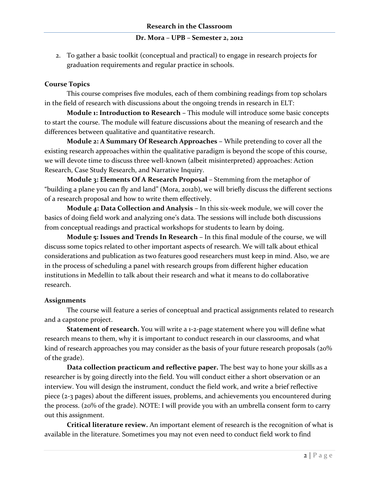2. To gather a basic toolkit (conceptual and practical) to engage in research projects for graduation requirements and regular practice in schools.

## **Course Topics**

This course comprises five modules, each of them combining readings from top scholars in the field of research with discussions about the ongoing trends in research in ELT:

**Module 1: Introduction to Research –** This module will introduce some basic concepts to start the course. The module will feature discussions about the meaning of research and the differences between qualitative and quantitative research.

**Module 2: A Summary Of Research Approaches –** While pretending to cover all the existing research approaches within the qualitative paradigm is beyond the scope of this course, we will devote time to discuss three well-known (albeit misinterpreted) approaches: Action Research, Case Study Research, and Narrative Inquiry.

**Module 3: Elements Of A Research Proposal –** Stemming from the metaphor of "building a plane you can fly and land" (Mora, 2012b), we will briefly discuss the different sections of a research proposal and how to write them effectively.

**Module 4: Data Collection and Analysis –** In this six-week module, we will cover the basics of doing field work and analyzing one's data. The sessions will include both discussions from conceptual readings and practical workshops for students to learn by doing.

**Module 5: Issues and Trends In Research –** In this final module of the course, we will discuss some topics related to other important aspects of research. We will talk about ethical considerations and publication as two features good researchers must keep in mind. Also, we are in the process of scheduling a panel with research groups from different higher education institutions in Medellín to talk about their research and what it means to do collaborative research.

#### **Assignments**

The course will feature a series of conceptual and practical assignments related to research and a capstone project.

**Statement of research.** You will write a 1-2-page statement where you will define what research means to them, why it is important to conduct research in our classrooms, and what kind of research approaches you may consider as the basis of your future research proposals (20%) of the grade).

**Data collection practicum and reflective paper.** The best way to hone your skills as a researcher is by going directly into the field. You will conduct either a short observation or an interview. You will design the instrument, conduct the field work, and write a brief reflective piece (2-3 pages) about the different issues, problems, and achievements you encountered during the process. (20% of the grade). NOTE: I will provide you with an umbrella consent form to carry out this assignment.

**Critical literature review.** An important element of research is the recognition of what is available in the literature. Sometimes you may not even need to conduct field work to find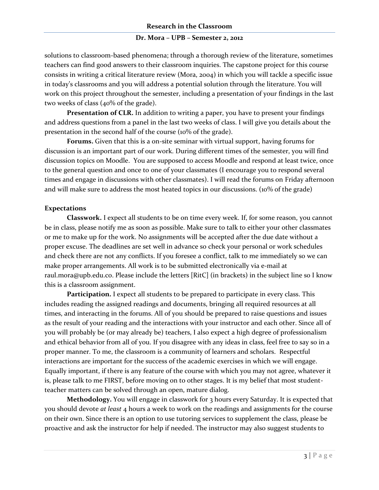solutions to classroom-based phenomena; through a thorough review of the literature, sometimes teachers can find good answers to their classroom inquiries. The capstone project for this course consists in writing a critical literature review (Mora, 2004) in which you will tackle a specific issue in today's classrooms and you will address a potential solution through the literature. You will work on this project throughout the semester, including a presentation of your findings in the last two weeks of class (40% of the grade).

**Presentation of CLR.** In addition to writing a paper, you have to present your findings and address questions from a panel in the last two weeks of class. I will give you details about the presentation in the second half of the course (10% of the grade).

**Forums.** Given that this is a on-site seminar with virtual support, having forums for discussion is an important part of our work. During different times of the semester, you will find discussion topics on Moodle. You are supposed to access Moodle and respond at least twice, once to the general question and once to one of your classmates (I encourage you to respond several times and engage in discussions with other classmates). I will read the forums on Friday afternoon and will make sure to address the most heated topics in our discussions. (10% of the grade)

## **Expectations**

**Classwork.** I expect all students to be on time every week. If, for some reason, you cannot be in class, please notify me as soon as possible. Make sure to talk to either your other classmates or me to make up for the work. No assignments will be accepted after the due date without a proper excuse. The deadlines are set well in advance so check your personal or work schedules and check there are not any conflicts. If you foresee a conflict, talk to me immediately so we can make proper arrangements. All work is to be submitted electronically via e-mail at raul.mora@upb.edu.co. Please include the letters [RitC] (in brackets) in the subject line so I know this is a classroom assignment.

**Participation.** I expect all students to be prepared to participate in every class. This includes reading the assigned readings and documents, bringing all required resources at all times, and interacting in the forums. All of you should be prepared to raise questions and issues as the result of your reading and the interactions with your instructor and each other. Since all of you will probably be (or may already be) teachers, I also expect a high degree of professionalism and ethical behavior from all of you. If you disagree with any ideas in class, feel free to say so in a proper manner. To me, the classroom is a community of learners and scholars. Respectful interactions are important for the success of the academic exercises in which we will engage. Equally important, if there is any feature of the course with which you may not agree, whatever it is, please talk to me FIRST, before moving on to other stages. It is my belief that most studentteacher matters can be solved through an open, mature dialog.

**Methodology.** You will engage in classwork for 3 hours every Saturday. It is expected that you should devote *at least* 4 hours a week to work on the readings and assignments for the course on their own. Since there is an option to use tutoring services to supplement the class, please be proactive and ask the instructor for help if needed. The instructor may also suggest students to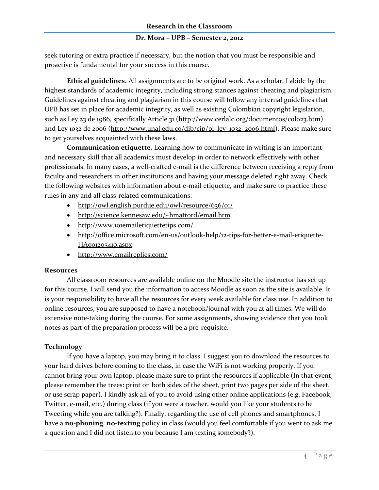seek tutoring or extra practice if necessary, but the notion that you must be responsible and proactive is fundamental for your success in this course.

**Ethical guidelines.** All assignments are to be original work. As a scholar, I abide by the highest standards of academic integrity, including strong stances against cheating and plagiarism. Guidelines against cheating and plagiarism in this course will follow any internal guidelines that UPB has set in place for academic integrity, as well as existing Colombian copyright legislation, such as Ley 23 de 1986, specifically Article 31 [\(http://www.cerlalc.org/documentos/colo23.htm\)](http://www.cerlalc.org/documentos/colo23.htm) and Ley 1032 de 2006 [\(http://www.unal.edu.co/dib/cip/pi\\_ley\\_1032\\_2006.html\)](http://www.unal.edu.co/dib/cip/pi_ley_1032_2006.html). Please make sure to get yourselves acquainted with these laws.

**Communication etiquette.** Learning how to communicate in writing is an important and necessary skill that all academics must develop in order to network effectively with other professionals. In many cases, a well-crafted e-mail is the difference between receiving a reply from faculty and researchers in other institutions and having your message deleted right away. Check the following websites with information about e-mail etiquette, and make sure to practice these rules in any and all class-related communications:

- <http://owl.english.purdue.edu/owl/resource/636/01/>
- <http://science.kennesaw.edu/~hmattord/email.htm>
- <http://www.101emailetiquettetips.com/>
- [http://office.microsoft.com/en-us/outlook-help/12-tips-for-better-e-mail-etiquette-](http://office.microsoft.com/en-us/outlook-help/12-tips-for-better-e-mail-etiquette-HA001205410.aspx)[HA001205410.aspx](http://office.microsoft.com/en-us/outlook-help/12-tips-for-better-e-mail-etiquette-HA001205410.aspx)
- <http://www.emailreplies.com/>

#### **Resources**

All classroom resources are available online on the Moodle site the instructor has set up for this course. I will send you the information to access Moodle as soon as the site is available. It is your responsibility to have all the resources for every week available for class use. In addition to online resources, you are supposed to have a notebook/journal with you at all times. We will do extensive note-taking during the course. For some assignments, showing evidence that you took notes as part of the preparation process will be a pre-requisite.

# **Technology**

If you have a laptop, you may bring it to class. I suggest you to download the resources to your hard drives before coming to the class, in case the WiFi is not working properly. If you cannot bring your own laptop, please make sure to print the resources if applicable (In that event, please remember the trees: print on both sides of the sheet, print two pages per side of the sheet, or use scrap paper). I kindly ask all of you to avoid using other online applications (e.g. Facebook, Twitter, e-mail, etc.) during class (if you were a teacher, would you like your students to be Tweeting while you are talking?). Finally, regarding the use of cell phones and smartphones, I have a **no-phoning**, **no-texting** policy in class (would you feel comfortable if you went to ask me a question and I did not listen to you because I am texting somebody?).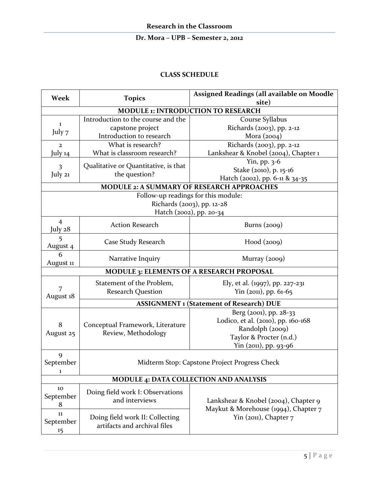#### **CLASS SCHEDULE**

| Week                                            | <b>Topics</b>                                           | Assigned Readings (all available on Moodle |  |  |
|-------------------------------------------------|---------------------------------------------------------|--------------------------------------------|--|--|
|                                                 |                                                         | site)                                      |  |  |
| <b>MODULE 1: INTRODUCTION TO RESEARCH</b>       |                                                         |                                            |  |  |
| 1                                               | Introduction to the course and the                      | Course Syllabus                            |  |  |
| July 7                                          | capstone project                                        | Richards (2003), pp. 2-12                  |  |  |
|                                                 | Introduction to research                                | Mora $(2004)$                              |  |  |
| $\mathbf{2}$                                    | What is research?                                       | Richards (2003), pp. 2-12                  |  |  |
| July 14                                         | What is classroom research?                             | Lankshear & Knobel (2004), Chapter 1       |  |  |
| $\overline{\mathbf{3}}$<br>July 21              | Qualitative or Quantitative, is that<br>the question?   | Yin, pp. 3-6                               |  |  |
|                                                 |                                                         | Stake (2010), p. 15-16                     |  |  |
|                                                 |                                                         | Hatch (2002), pp. 6-11 & 34-35             |  |  |
| MODULE 2: A SUMMARY OF RESEARCH APPROACHES      |                                                         |                                            |  |  |
| Follow-up readings for this module:             |                                                         |                                            |  |  |
|                                                 |                                                         | Richards (2003), pp. 12-28                 |  |  |
| Hatch (2002), pp. 20-34                         |                                                         |                                            |  |  |
| $\overline{4}$                                  | <b>Action Research</b>                                  | Burns $(2009)$                             |  |  |
| July 28                                         |                                                         |                                            |  |  |
| 5                                               | Case Study Research                                     | Hood (2009)                                |  |  |
| August 4                                        |                                                         |                                            |  |  |
| 6                                               | Narrative Inquiry                                       | Murray $(2009)$                            |  |  |
| August 11                                       |                                                         |                                            |  |  |
| MODULE 3: ELEMENTS OF A RESEARCH PROPOSAL       |                                                         |                                            |  |  |
| August 18                                       | Statement of the Problem,                               | Ely, et al. (1997), pp. 227-231            |  |  |
|                                                 | <b>Research Question</b>                                | Yin (2011), pp. 61-65                      |  |  |
|                                                 |                                                         |                                            |  |  |
| <b>ASSIGNMENT 1 (Statement of Research) DUE</b> |                                                         |                                            |  |  |
|                                                 | Conceptual Framework, Literature<br>Review, Methodology | Berg (2001), pp. 28-33                     |  |  |
| 8                                               |                                                         | Lodico, et al. (2010), pp. 160-168         |  |  |
| August 25                                       |                                                         | Randolph (2009)                            |  |  |
|                                                 |                                                         | Taylor & Procter (n.d.)                    |  |  |
|                                                 |                                                         | Yin (2011), pp. 93-96                      |  |  |
| 9                                               |                                                         |                                            |  |  |
| September                                       | Midterm Stop: Capstone Project Progress Check<br>1      |                                            |  |  |
|                                                 |                                                         |                                            |  |  |
| <b>MODULE 4: DATA COLLECTION AND ANALYSIS</b>   |                                                         |                                            |  |  |
| 10                                              | Doing field work I: Observations                        |                                            |  |  |
| September                                       | and interviews                                          | Lankshear & Knobel (2004), Chapter 9       |  |  |
| 8                                               |                                                         | Maykut & Morehouse (1994), Chapter 7       |  |  |
| 11                                              | Doing field work II: Collecting                         | Yin (2011), Chapter 7                      |  |  |
| September                                       | artifacts and archival files                            |                                            |  |  |
| 15                                              |                                                         |                                            |  |  |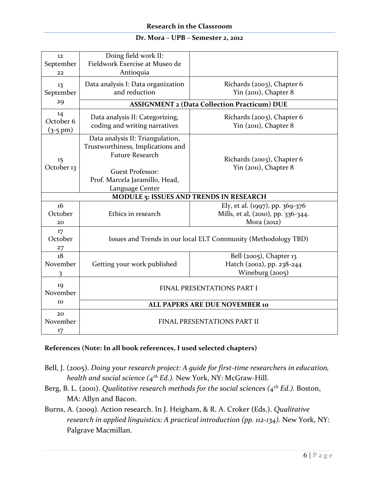| 12<br>September<br>22                          | Doing field work II:<br>Fieldwork Exercise at Museo de<br>Antioquia                                                                                                             |                                                                                        |  |  |
|------------------------------------------------|---------------------------------------------------------------------------------------------------------------------------------------------------------------------------------|----------------------------------------------------------------------------------------|--|--|
| 13<br>September<br>29                          | Data analysis I: Data organization<br>and reduction                                                                                                                             | Richards (2003), Chapter 6<br>Yin (2011), Chapter 8                                    |  |  |
|                                                | <b>ASSIGNMENT 2 (Data Collection Practicum) DUE</b>                                                                                                                             |                                                                                        |  |  |
| 14<br>October 6<br>$(3-5)$ pm)                 | Data analysis II: Categorizing,<br>coding and writing narratives                                                                                                                | Richards (2003), Chapter 6<br>Yin (2011), Chapter 8                                    |  |  |
| 15<br>October 13                               | Data analysis II: Triangulation,<br>Trustworthiness, Implications and<br><b>Future Research</b><br><b>Guest Professor:</b><br>Prof. Marcela Jaramillo, Head,<br>Language Center | Richards (2003), Chapter 6<br>Yin (2011), Chapter 8                                    |  |  |
| <b>MODULE 5: ISSUES AND TRENDS IN RESEARCH</b> |                                                                                                                                                                                 |                                                                                        |  |  |
| 16<br>October<br>20                            | Ethics in research                                                                                                                                                              | Ely, et al. (1997), pp. 369-376<br>Mills, et al, (2010), pp. 336-344.<br>Mora $(2012)$ |  |  |
| 17<br>October<br>27                            | Issues and Trends in our local ELT Community (Methodology TBD)                                                                                                                  |                                                                                        |  |  |
| 18<br>November<br>3                            | Getting your work published                                                                                                                                                     | Bell $(2005)$ , Chapter 13<br>Hatch (2002), pp. 238-244<br>Wineburg (2005)             |  |  |
| 19<br>November                                 | FINAL PRESENTATIONS PART I                                                                                                                                                      |                                                                                        |  |  |
| 10                                             | ALL PAPERS ARE DUE NOVEMBER 10                                                                                                                                                  |                                                                                        |  |  |
| 20<br>November<br>17                           | <b>FINAL PRESENTATIONS PART II</b>                                                                                                                                              |                                                                                        |  |  |

# **References (Note: In all book references, I used selected chapters)**

- Bell, J. (2005). *Doing your research project: A guide for first-time researchers in education, health and social science (4th Ed.).* New York, NY: McGraw-Hill.
- Berg, B. L. (2001). *Qualitative research methods for the social sciences (4th Ed.).* Boston, MA: Allyn and Bacon.
- Burns, A. (2009). Action research. In J. Heigham, & R. A. Croker (Eds.). *Qualitative research in applied linguistics: A practical introduction (pp. 112-134).* New York, NY: Palgrave Macmillan.